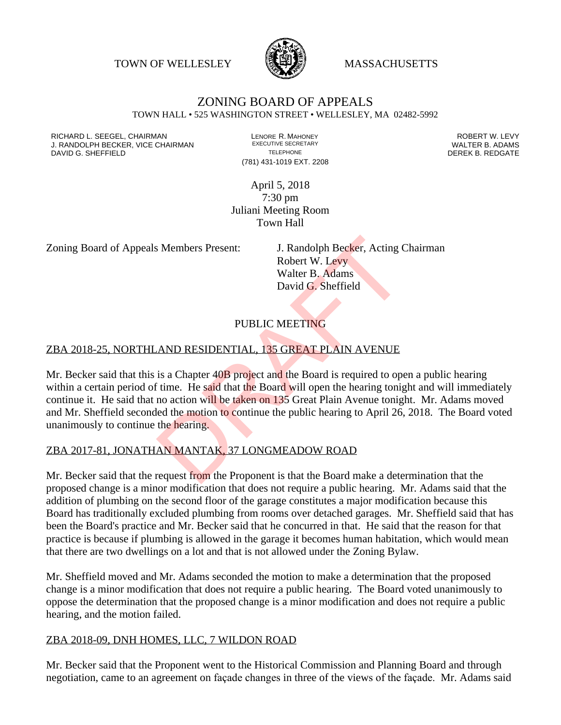TOWN OF WELLESLEY WASSACHUSETTS



#### ZONING BOARD OF APPEALS TOWN HALL • 525 WASHINGTON STREET • WELLESLEY, MA 02482-5992

RICHARD L. SEEGEL, CHAIRMAN LENORE R. MAHONEY ROBERT W. LEVY J. RANDOLPH BECKER, VICE CHAIRMAN EXECUTIVE SECRETARY THE SECRETARY THE SANDOLPH BECKER B. ADAMS<br>DEREK B. REDGATE TELEPHONE TELEPHONE TELEPHONE THE SAND DEREK B. REDGATE DAVID G. SHEFFIELD

(781) 431-1019 EXT. 2208

April 5, 2018 7:30 pm Juliani Meeting Room Town Hall

Zoning Board of Appeals Members Present: J. Randolph Becker, Acting Chairman

Robert W. Levy Walter B. Adams David G. Sheffield

# PUBLIC MEETING

## ZBA 2018-25, NORTHLAND RESIDENTIAL, 135 GREAT PLAIN AVENUE

Mr. Becker said that this is a Chapter 40B project and the Board is required to open a public hearing within a certain period of time. He said that the Board will open the hearing tonight and will immediately continue it. He said that no action will be taken on 135 Great Plain Avenue tonight. Mr. Adams moved and Mr. Sheffield seconded the motion to continue the public hearing to April 26, 2018. The Board voted unanimously to continue the hearing. S. Members Present:<br>
J. Randolph Becker, Acting C<br>
Robert W. Levy<br>
Walter B. Adams<br>
David G. Sheffield<br>
PUBLIC MEETING<br>
AND RESIDENTIAL, 135 GREAT PLAIN AVENUE<br>
is a Chapter 40B project and the Board is required to ope<br>
i'

# ZBA 2017-81, JONATHAN MANTAK, 37 LONGMEADOW ROAD

Mr. Becker said that the request from the Proponent is that the Board make a determination that the proposed change is a minor modification that does not require a public hearing. Mr. Adams said that the addition of plumbing on the second floor of the garage constitutes a major modification because this Board has traditionally excluded plumbing from rooms over detached garages. Mr. Sheffield said that has been the Board's practice and Mr. Becker said that he concurred in that. He said that the reason for that practice is because if plumbing is allowed in the garage it becomes human habitation, which would mean that there are two dwellings on a lot and that is not allowed under the Zoning Bylaw.

Mr. Sheffield moved and Mr. Adams seconded the motion to make a determination that the proposed change is a minor modification that does not require a public hearing. The Board voted unanimously to oppose the determination that the proposed change is a minor modification and does not require a public hearing, and the motion failed.

### ZBA 2018-09, DNH HOMES, LLC, 7 WILDON ROAD

Mr. Becker said that the Proponent went to the Historical Commission and Planning Board and through negotiation, came to an agreement on façade changes in three of the views of the façade. Mr. Adams said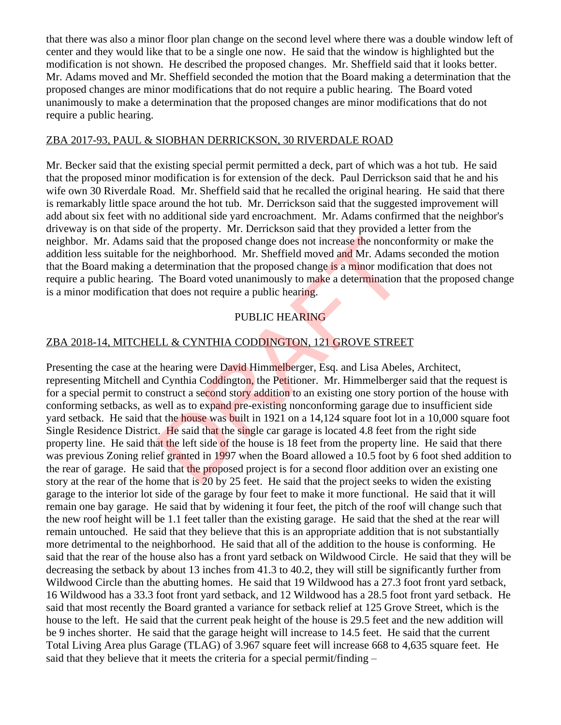that there was also a minor floor plan change on the second level where there was a double window left of center and they would like that to be a single one now. He said that the window is highlighted but the modification is not shown. He described the proposed changes. Mr. Sheffield said that it looks better. Mr. Adams moved and Mr. Sheffield seconded the motion that the Board making a determination that the proposed changes are minor modifications that do not require a public hearing. The Board voted unanimously to make a determination that the proposed changes are minor modifications that do not require a public hearing.

### ZBA 2017-93, PAUL & SIOBHAN DERRICKSON, 30 RIVERDALE ROAD

Mr. Becker said that the existing special permit permitted a deck, part of which was a hot tub. He said that the proposed minor modification is for extension of the deck. Paul Derrickson said that he and his wife own 30 Riverdale Road. Mr. Sheffield said that he recalled the original hearing. He said that there is remarkably little space around the hot tub. Mr. Derrickson said that the suggested improvement will add about six feet with no additional side yard encroachment. Mr. Adams confirmed that the neighbor's driveway is on that side of the property. Mr. Derrickson said that they provided a letter from the neighbor. Mr. Adams said that the proposed change does not increase the nonconformity or make the addition less suitable for the neighborhood. Mr. Sheffield moved and Mr. Adams seconded the motion that the Board making a determination that the proposed change is a minor modification that does not require a public hearing. The Board voted unanimously to make a determination that the proposed change is a minor modification that does not require a public hearing.

# PUBLIC HEARING

## ZBA 2018-14, MITCHELL & CYNTHIA CODDINGTON, 121 GROVE STREET

Presenting the case at the hearing were David Himmelberger, Esq. and Lisa Abeles, Architect, representing Mitchell and Cynthia Coddington, the Petitioner. Mr. Himmelberger said that the request is for a special permit to construct a second story addition to an existing one story portion of the house with conforming setbacks, as well as to expand pre-existing nonconforming garage due to insufficient side yard setback. He said that the house was built in 1921 on a 14,124 square foot lot in a 10,000 square foot Single Residence District. He said that the single car garage is located 4.8 feet from the right side property line. He said that the left side of the house is 18 feet from the property line. He said that there was previous Zoning relief granted in 1997 when the Board allowed a 10.5 foot by 6 foot shed addition to the rear of garage. He said that the proposed project is for a second floor addition over an existing one story at the rear of the home that is 20 by 25 feet. He said that the project seeks to widen the existing garage to the interior lot side of the garage by four feet to make it more functional. He said that it will remain one bay garage. He said that by widening it four feet, the pitch of the roof will change such that the new roof height will be 1.1 feet taller than the existing garage. He said that the shed at the rear will remain untouched. He said that they believe that this is an appropriate addition that is not substantially more detrimental to the neighborhood. He said that all of the addition to the house is conforming. He said that the rear of the house also has a front yard setback on Wildwood Circle. He said that they will be decreasing the setback by about 13 inches from 41.3 to 40.2, they will still be significantly further from Wildwood Circle than the abutting homes. He said that 19 Wildwood has a 27.3 foot front yard setback, 16 Wildwood has a 33.3 foot front yard setback, and 12 Wildwood has a 28.5 foot front yard setback. He said that most recently the Board granted a variance for setback relief at 125 Grove Street, which is the house to the left. He said that the current peak height of the house is 29.5 feet and the new addition will be 9 inches shorter. He said that the garage height will increase to 14.5 feet. He said that the current Total Living Area plus Garage (TLAG) of 3.967 square feet will increase 668 to 4,635 square feet. He said that they believe that it meets the criteria for a special permit/finding – id that the proposed change does not increase the noncon<br>the neighborhood. Mr. Sheffield moved and Mr. Adams<br>determination that the proposed change is a minor modifi<br>The Board voted unanimously to make a determination hat<br>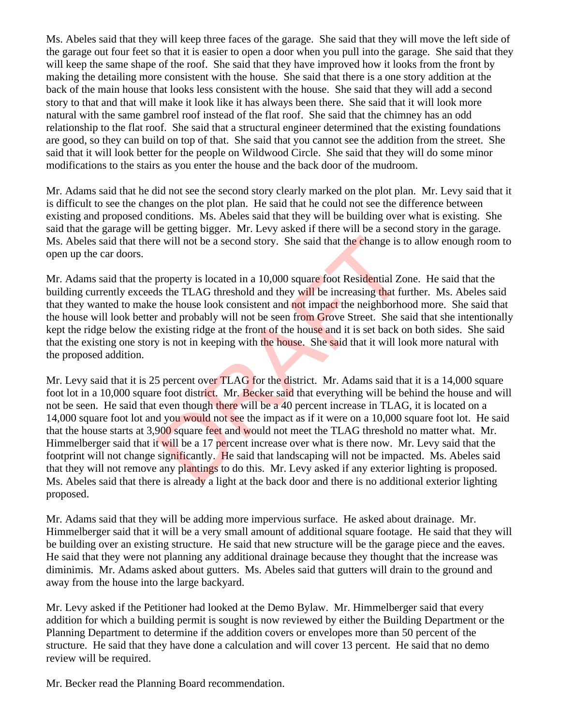Ms. Abeles said that they will keep three faces of the garage. She said that they will move the left side of the garage out four feet so that it is easier to open a door when you pull into the garage. She said that they will keep the same shape of the roof. She said that they have improved how it looks from the front by making the detailing more consistent with the house. She said that there is a one story addition at the back of the main house that looks less consistent with the house. She said that they will add a second story to that and that will make it look like it has always been there. She said that it will look more natural with the same gambrel roof instead of the flat roof. She said that the chimney has an odd relationship to the flat roof. She said that a structural engineer determined that the existing foundations are good, so they can build on top of that. She said that you cannot see the addition from the street. She said that it will look better for the people on Wildwood Circle. She said that they will do some minor modifications to the stairs as you enter the house and the back door of the mudroom.

Mr. Adams said that he did not see the second story clearly marked on the plot plan. Mr. Levy said that it is difficult to see the changes on the plot plan. He said that he could not see the difference between existing and proposed conditions. Ms. Abeles said that they will be building over what is existing. She said that the garage will be getting bigger. Mr. Levy asked if there will be a second story in the garage. Ms. Abeles said that there will not be a second story. She said that the change is to allow enough room to open up the car doors.

Mr. Adams said that the property is located in a 10,000 square foot Residential Zone. He said that the building currently exceeds the TLAG threshold and they will be increasing that further. Ms. Abeles said that they wanted to make the house look consistent and not impact the neighborhood more. She said that the house will look better and probably will not be seen from Grove Street. She said that she intentionally kept the ridge below the existing ridge at the front of the house and it is set back on both sides. She said that the existing one story is not in keeping with the house. She said that it will look more natural with the proposed addition.

Mr. Levy said that it is 25 percent over TLAG for the district. Mr. Adams said that it is a 14,000 square foot lot in a 10,000 square foot district. Mr. Becker said that everything will be behind the house and will not be seen. He said that even though there will be a 40 percent increase in TLAG, it is located on a 14,000 square foot lot and you would not see the impact as if it were on a 10,000 square foot lot. He said that the house starts at 3,900 square feet and would not meet the TLAG threshold no matter what. Mr. Himmelberger said that it will be a 17 percent increase over what is there now. Mr. Levy said that the footprint will not change significantly. He said that landscaping will not be impacted. Ms. Abeles said that they will not remove any plantings to do this. Mr. Levy asked if any exterior lighting is proposed. Ms. Abeles said that there is already a light at the back door and there is no additional exterior lighting proposed. e will not be a second story. She said that the change is t<br>property is located in a 10,000 square foot Residential Zc<br>ls the TLAG threshold and they will be increasing that fu<br>the house look consistent and **not** impact th

Mr. Adams said that they will be adding more impervious surface. He asked about drainage. Mr. Himmelberger said that it will be a very small amount of additional square footage. He said that they will be building over an existing structure. He said that new structure will be the garage piece and the eaves. He said that they were not planning any additional drainage because they thought that the increase was diminimis. Mr. Adams asked about gutters. Ms. Abeles said that gutters will drain to the ground and away from the house into the large backyard.

Mr. Levy asked if the Petitioner had looked at the Demo Bylaw. Mr. Himmelberger said that every addition for which a building permit is sought is now reviewed by either the Building Department or the Planning Department to determine if the addition covers or envelopes more than 50 percent of the structure. He said that they have done a calculation and will cover 13 percent. He said that no demo review will be required.

Mr. Becker read the Planning Board recommendation.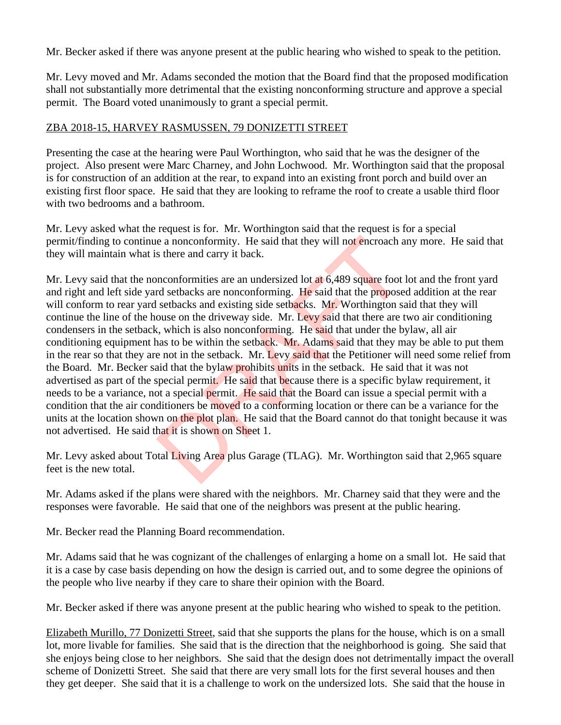Mr. Becker asked if there was anyone present at the public hearing who wished to speak to the petition.

Mr. Levy moved and Mr. Adams seconded the motion that the Board find that the proposed modification shall not substantially more detrimental that the existing nonconforming structure and approve a special permit. The Board voted unanimously to grant a special permit.

### ZBA 2018-15, HARVEY RASMUSSEN, 79 DONIZETTI STREET

Presenting the case at the hearing were Paul Worthington, who said that he was the designer of the project. Also present were Marc Charney, and John Lochwood. Mr. Worthington said that the proposal is for construction of an addition at the rear, to expand into an existing front porch and build over an existing first floor space. He said that they are looking to reframe the roof to create a usable third floor with two bedrooms and a bathroom.

Mr. Levy asked what the request is for. Mr. Worthington said that the request is for a special permit/finding to continue a nonconformity. He said that they will not encroach any more. He said that they will maintain what is there and carry it back.

Mr. Levy said that the nonconformities are an undersized lot at 6,489 square foot lot and the front yard and right and left side yard setbacks are nonconforming. He said that the proposed addition at the rear will conform to rear yard setbacks and existing side setbacks. Mr. Worthington said that they will continue the line of the house on the driveway side. Mr. Levy said that there are two air conditioning condensers in the setback, which is also nonconforming. He said that under the bylaw, all air conditioning equipment has to be within the setback. Mr. Adams said that they may be able to put them in the rear so that they are not in the setback. Mr. Levy said that the Petitioner will need some relief from the Board. Mr. Becker said that the bylaw prohibits units in the setback. He said that it was not advertised as part of the special permit. He said that because there is a specific bylaw requirement, it needs to be a variance, not a special permit. He said that the Board can issue a special permit with a condition that the air conditioners be moved to a conforming location or there can be a variance for the units at the location shown on the plot plan. He said that the Board cannot do that tonight because it was not advertised. He said that it is shown on Sheet 1. e a nonconformity. He said that they will not encroach a<br>s there and carry it back.<br>mconformities are an undersized lot at 6,489 square foot<br>rd setbacks are nonconforming. He said that the propose<br>setbacks and existing sid

Mr. Levy asked about Total Living Area plus Garage (TLAG). Mr. Worthington said that 2,965 square feet is the new total.

Mr. Adams asked if the plans were shared with the neighbors. Mr. Charney said that they were and the responses were favorable. He said that one of the neighbors was present at the public hearing.

Mr. Becker read the Planning Board recommendation.

Mr. Adams said that he was cognizant of the challenges of enlarging a home on a small lot. He said that it is a case by case basis depending on how the design is carried out, and to some degree the opinions of the people who live nearby if they care to share their opinion with the Board.

Mr. Becker asked if there was anyone present at the public hearing who wished to speak to the petition.

Elizabeth Murillo, 77 Donizetti Street, said that she supports the plans for the house, which is on a small lot, more livable for families. She said that is the direction that the neighborhood is going. She said that she enjoys being close to her neighbors. She said that the design does not detrimentally impact the overall scheme of Donizetti Street. She said that there are very small lots for the first several houses and then they get deeper. She said that it is a challenge to work on the undersized lots. She said that the house in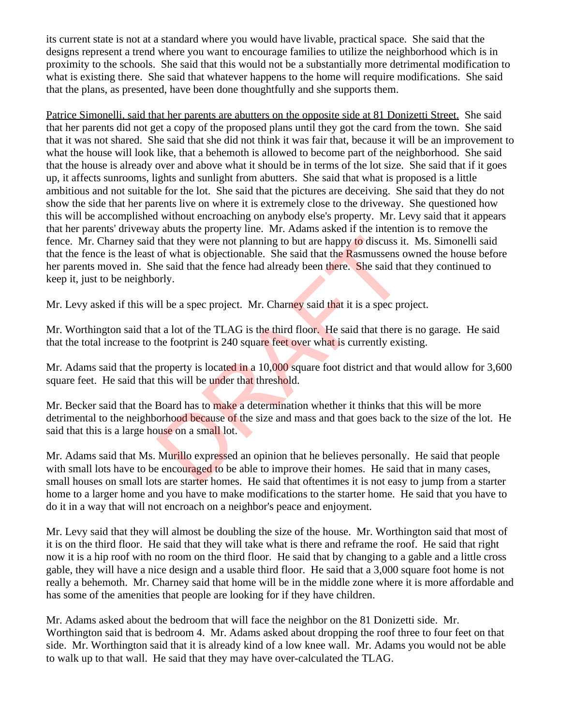its current state is not at a standard where you would have livable, practical space. She said that the designs represent a trend where you want to encourage families to utilize the neighborhood which is in proximity to the schools. She said that this would not be a substantially more detrimental modification to what is existing there. She said that whatever happens to the home will require modifications. She said that the plans, as presented, have been done thoughtfully and she supports them.

Patrice Simonelli, said that her parents are abutters on the opposite side at 81 Donizetti Street. She said that her parents did not get a copy of the proposed plans until they got the card from the town. She said that it was not shared. She said that she did not think it was fair that, because it will be an improvement to what the house will look like, that a behemoth is allowed to become part of the neighborhood. She said that the house is already over and above what it should be in terms of the lot size. She said that if it goes up, it affects sunrooms, lights and sunlight from abutters. She said that what is proposed is a little ambitious and not suitable for the lot. She said that the pictures are deceiving. She said that they do not show the side that her parents live on where it is extremely close to the driveway. She questioned how this will be accomplished without encroaching on anybody else's property. Mr. Levy said that it appears that her parents' driveway abuts the property line. Mr. Adams asked if the intention is to remove the fence. Mr. Charney said that they were not planning to but are happy to discuss it. Ms. Simonelli said that the fence is the least of what is objectionable. She said that the Rasmussens owned the house before her parents moved in. She said that the fence had already been there. She said that they continued to keep it, just to be neighborly. that they were not planning to but are happy to discuss it<br>of what is objectionable. She said that the Rasmussens c<br>ne said that the fence had already been there. She said that<br>orly.<br>Ill be a spec project. Mr. Charney said

Mr. Levy asked if this will be a spec project. Mr. Charney said that it is a spec project.

Mr. Worthington said that a lot of the TLAG is the third floor. He said that there is no garage. He said that the total increase to the footprint is 240 square feet over what is currently existing.

Mr. Adams said that the property is located in a 10,000 square foot district and that would allow for 3,600 square feet. He said that this will be under that threshold.

Mr. Becker said that the Board has to make a determination whether it thinks that this will be more detrimental to the neighborhood because of the size and mass and that goes back to the size of the lot. He said that this is a large house on a small lot.

Mr. Adams said that Ms. Murillo expressed an opinion that he believes personally. He said that people with small lots have to be encouraged to be able to improve their homes. He said that in many cases, small houses on small lots are starter homes. He said that oftentimes it is not easy to jump from a starter home to a larger home and you have to make modifications to the starter home. He said that you have to do it in a way that will not encroach on a neighbor's peace and enjoyment.

Mr. Levy said that they will almost be doubling the size of the house. Mr. Worthington said that most of it is on the third floor. He said that they will take what is there and reframe the roof. He said that right now it is a hip roof with no room on the third floor. He said that by changing to a gable and a little cross gable, they will have a nice design and a usable third floor. He said that a 3,000 square foot home is not really a behemoth. Mr. Charney said that home will be in the middle zone where it is more affordable and has some of the amenities that people are looking for if they have children.

Mr. Adams asked about the bedroom that will face the neighbor on the 81 Donizetti side. Mr. Worthington said that is bedroom 4. Mr. Adams asked about dropping the roof three to four feet on that side. Mr. Worthington said that it is already kind of a low knee wall. Mr. Adams you would not be able to walk up to that wall. He said that they may have over-calculated the TLAG.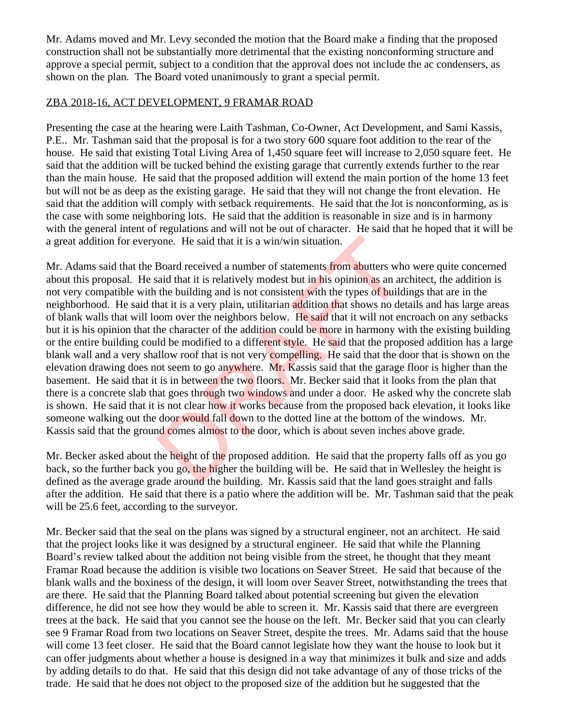Mr. Adams moved and Mr. Levy seconded the motion that the Board make a finding that the proposed construction shall not be substantially more detrimental that the existing nonconforming structure and approve a special permit, subject to a condition that the approval does not include the ac condensers, as shown on the plan. The Board voted unanimously to grant a special permit.

#### ZBA 2018-16, ACT DEVELOPMENT, 9 FRAMAR ROAD

Presenting the case at the hearing were Laith Tashman, Co-Owner, Act Development, and Sami Kassis, P.E.. Mr. Tashman said that the proposal is for a two story 600 square foot addition to the rear of the house. He said that existing Total Living Area of 1,450 square feet will increase to 2,050 square feet. He said that the addition will be tucked behind the existing garage that currently extends further to the rear than the main house. He said that the proposed addition will extend the main portion of the home 13 feet but will not be as deep as the existing garage. He said that they will not change the front elevation. He said that the addition will comply with setback requirements. He said that the lot is nonconforming, as is the case with some neighboring lots. He said that the addition is reasonable in size and is in harmony with the general intent of regulations and will not be out of character. He said that he hoped that it will be a great addition for everyone. He said that it is a win/win situation.

Mr. Adams said that the Board received a number of statements from abutters who were quite concerned about this proposal. He said that it is relatively modest but in his opinion as an architect, the addition is not very compatible with the building and is not consistent with the types of buildings that are in the neighborhood. He said that it is a very plain, utilitarian addition that shows no details and has large areas of blank walls that will loom over the neighbors below. He said that it will not encroach on any setbacks but it is his opinion that the character of the addition could be more in harmony with the existing building or the entire building could be modified to a different style. He said that the proposed addition has a large blank wall and a very shallow roof that is not very compelling. He said that the door that is shown on the elevation drawing does not seem to go anywhere. Mr. Kassis said that the garage floor is higher than the basement. He said that it is in between the two floors. Mr. Becker said that it looks from the plan that there is a concrete slab that goes through two windows and under a door. He asked why the concrete slab is shown. He said that it is not clear how it works because from the proposed back elevation, it looks like someone walking out the door would fall down to the dotted line at the bottom of the windows. Mr. Kassis said that the ground comes almost to the door, which is about seven inches above grade. one. He said that it is a win/win situation.<br>Board received a number of statements from abutters whe<br>said that it is relatively modest but in his opinion as an are<br>the building and is not consistent with the types of build

Mr. Becker asked about the height of the proposed addition. He said that the property falls off as you go back, so the further back you go, the higher the building will be. He said that in Wellesley the height is defined as the average grade around the building. Mr. Kassis said that the land goes straight and falls after the addition. He said that there is a patio where the addition will be. Mr. Tashman said that the peak will be 25.6 feet, according to the surveyor.

Mr. Becker said that the seal on the plans was signed by a structural engineer, not an architect. He said that the project looks like it was designed by a structural engineer. He said that while the Planning Board's review talked about the addition not being visible from the street, he thought that they meant Framar Road because the addition is visible two locations on Seaver Street. He said that because of the blank walls and the boxiness of the design, it will loom over Seaver Street, notwithstanding the trees that are there. He said that the Planning Board talked about potential screening but given the elevation difference, he did not see how they would be able to screen it. Mr. Kassis said that there are evergreen trees at the back. He said that you cannot see the house on the left. Mr. Becker said that you can clearly see 9 Framar Road from two locations on Seaver Street, despite the trees. Mr. Adams said that the house will come 13 feet closer. He said that the Board cannot legislate how they want the house to look but it can offer judgments about whether a house is designed in a way that minimizes it bulk and size and adds by adding details to do that. He said that this design did not take advantage of any of those tricks of the trade. He said that he does not object to the proposed size of the addition but he suggested that the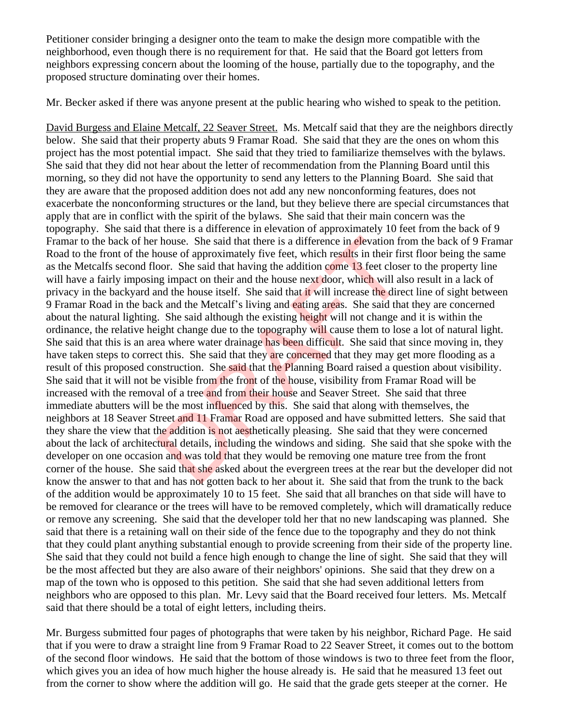Petitioner consider bringing a designer onto the team to make the design more compatible with the neighborhood, even though there is no requirement for that. He said that the Board got letters from neighbors expressing concern about the looming of the house, partially due to the topography, and the proposed structure dominating over their homes.

Mr. Becker asked if there was anyone present at the public hearing who wished to speak to the petition.

David Burgess and Elaine Metcalf, 22 Seaver Street. Ms. Metcalf said that they are the neighbors directly below. She said that their property abuts 9 Framar Road. She said that they are the ones on whom this project has the most potential impact. She said that they tried to familiarize themselves with the bylaws. She said that they did not hear about the letter of recommendation from the Planning Board until this morning, so they did not have the opportunity to send any letters to the Planning Board. She said that they are aware that the proposed addition does not add any new nonconforming features, does not exacerbate the nonconforming structures or the land, but they believe there are special circumstances that apply that are in conflict with the spirit of the bylaws. She said that their main concern was the topography. She said that there is a difference in elevation of approximately 10 feet from the back of 9 Framar to the back of her house. She said that there is a difference in elevation from the back of 9 Framar Road to the front of the house of approximately five feet, which results in their first floor being the same as the Metcalfs second floor. She said that having the addition come 13 feet closer to the property line will have a fairly imposing impact on their and the house next door, which will also result in a lack of privacy in the backyard and the house itself. She said that it will increase the direct line of sight between 9 Framar Road in the back and the Metcalf's living and eating areas. She said that they are concerned about the natural lighting. She said although the existing height will not change and it is within the ordinance, the relative height change due to the topography will cause them to lose a lot of natural light. She said that this is an area where water drainage has been difficult. She said that since moving in, they have taken steps to correct this. She said that they are concerned that they may get more flooding as a result of this proposed construction. She said that the Planning Board raised a question about visibility. She said that it will not be visible from the front of the house, visibility from Framar Road will be increased with the removal of a tree and from their house and Seaver Street. She said that three immediate abutters will be the most influenced by this. She said that along with themselves, the neighbors at 18 Seaver Street and 11 Framar Road are opposed and have submitted letters. She said that they share the view that the addition is not aesthetically pleasing. She said that they were concerned about the lack of architectural details, including the windows and siding. She said that she spoke with the developer on one occasion and was told that they would be removing one mature tree from the front corner of the house. She said that she asked about the evergreen trees at the rear but the developer did not know the answer to that and has not gotten back to her about it. She said that from the trunk to the back of the addition would be approximately 10 to 15 feet. She said that all branches on that side will have to be removed for clearance or the trees will have to be removed completely, which will dramatically reduce or remove any screening. She said that the developer told her that no new landscaping was planned. She said that there is a retaining wall on their side of the fence due to the topography and they do not think that they could plant anything substantial enough to provide screening from their side of the property line. She said that they could not build a fence high enough to change the line of sight. She said that they will be the most affected but they are also aware of their neighbors' opinions. She said that they drew on a map of the town who is opposed to this petition. She said that she had seven additional letters from neighbors who are opposed to this plan. Mr. Levy said that the Board received four letters. Ms. Metcalf said that there should be a total of eight letters, including theirs. Thouse. She said that there is a difference in elevation from thouse of approximately five feet, which results in their fir for solong impact on their and the house next door, which will alse the direly signal to their and

Mr. Burgess submitted four pages of photographs that were taken by his neighbor, Richard Page. He said that if you were to draw a straight line from 9 Framar Road to 22 Seaver Street, it comes out to the bottom of the second floor windows. He said that the bottom of those windows is two to three feet from the floor, which gives you an idea of how much higher the house already is. He said that he measured 13 feet out from the corner to show where the addition will go. He said that the grade gets steeper at the corner. He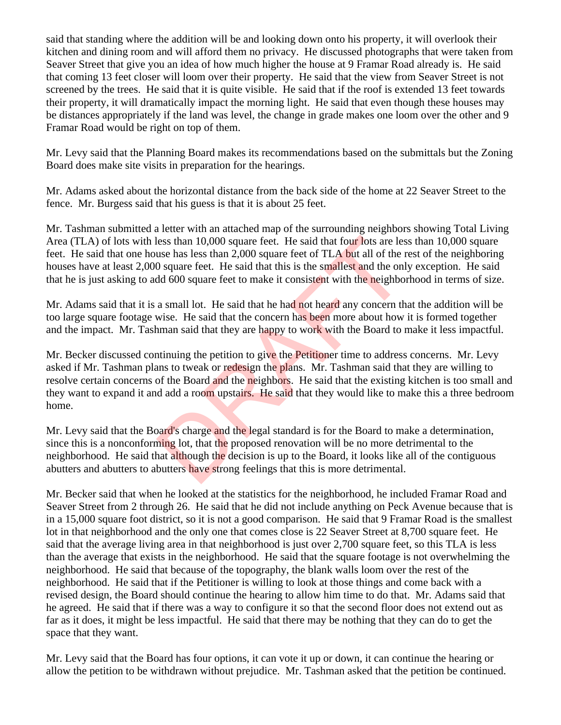said that standing where the addition will be and looking down onto his property, it will overlook their kitchen and dining room and will afford them no privacy. He discussed photographs that were taken from Seaver Street that give you an idea of how much higher the house at 9 Framar Road already is. He said that coming 13 feet closer will loom over their property. He said that the view from Seaver Street is not screened by the trees. He said that it is quite visible. He said that if the roof is extended 13 feet towards their property, it will dramatically impact the morning light. He said that even though these houses may be distances appropriately if the land was level, the change in grade makes one loom over the other and 9 Framar Road would be right on top of them.

Mr. Levy said that the Planning Board makes its recommendations based on the submittals but the Zoning Board does make site visits in preparation for the hearings.

Mr. Adams asked about the horizontal distance from the back side of the home at 22 Seaver Street to the fence. Mr. Burgess said that his guess is that it is about 25 feet.

Mr. Tashman submitted a letter with an attached map of the surrounding neighbors showing Total Living Area (TLA) of lots with less than 10,000 square feet. He said that four lots are less than 10,000 square feet. He said that one house has less than 2,000 square feet of TLA but all of the rest of the neighboring houses have at least 2,000 square feet. He said that this is the smallest and the only exception. He said that he is just asking to add 600 square feet to make it consistent with the neighborhood in terms of size.

Mr. Adams said that it is a small lot. He said that he had not heard any concern that the addition will be too large square footage wise. He said that the concern has been more about how it is formed together and the impact. Mr. Tashman said that they are happy to work with the Board to make it less impactful.

Mr. Becker discussed continuing the petition to give the Petitioner time to address concerns. Mr. Levy asked if Mr. Tashman plans to tweak or redesign the plans. Mr. Tashman said that they are willing to resolve certain concerns of the Board and the neighbors. He said that the existing kitchen is too small and they want to expand it and add a room upstairs. He said that they would like to make this a three bedroom home. less than 10,000 square feet. He said that four lots are less<br>use has less than 2,000 square feet of TLA but all of the 1<br>0 square feet. He said that this is the smallest and the onl<br>d 600 square feet to make it consistent

Mr. Levy said that the Board's charge and the legal standard is for the Board to make a determination, since this is a nonconforming lot, that the proposed renovation will be no more detrimental to the neighborhood. He said that although the decision is up to the Board, it looks like all of the contiguous abutters and abutters to abutters have strong feelings that this is more detrimental.

Mr. Becker said that when he looked at the statistics for the neighborhood, he included Framar Road and Seaver Street from 2 through 26. He said that he did not include anything on Peck Avenue because that is in a 15,000 square foot district, so it is not a good comparison. He said that 9 Framar Road is the smallest lot in that neighborhood and the only one that comes close is 22 Seaver Street at 8,700 square feet. He said that the average living area in that neighborhood is just over 2,700 square feet, so this TLA is less than the average that exists in the neighborhood. He said that the square footage is not overwhelming the neighborhood. He said that because of the topography, the blank walls loom over the rest of the neighborhood. He said that if the Petitioner is willing to look at those things and come back with a revised design, the Board should continue the hearing to allow him time to do that. Mr. Adams said that he agreed. He said that if there was a way to configure it so that the second floor does not extend out as far as it does, it might be less impactful. He said that there may be nothing that they can do to get the space that they want.

Mr. Levy said that the Board has four options, it can vote it up or down, it can continue the hearing or allow the petition to be withdrawn without prejudice. Mr. Tashman asked that the petition be continued.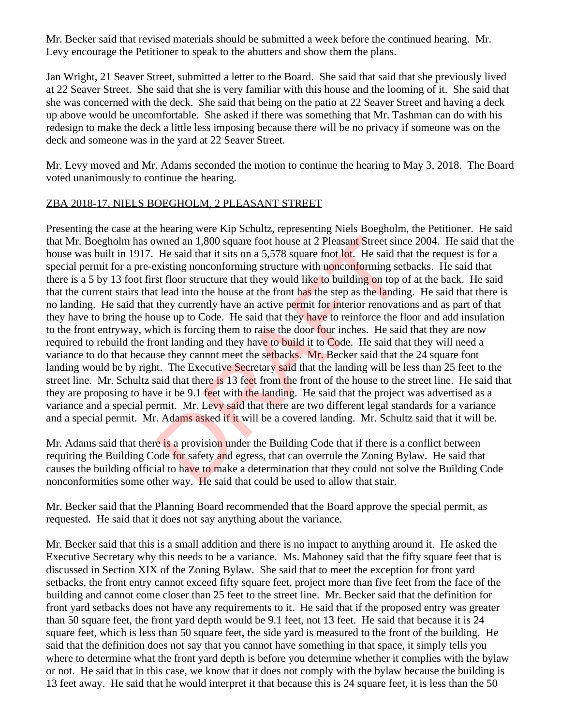Mr. Becker said that revised materials should be submitted a week before the continued hearing. Mr. Levy encourage the Petitioner to speak to the abutters and show them the plans.

Jan Wright, 21 Seaver Street, submitted a letter to the Board. She said that said that she previously lived at 22 Seaver Street. She said that she is very familiar with this house and the looming of it. She said that she was concerned with the deck. She said that being on the patio at 22 Seaver Street and having a deck up above would be uncomfortable. She asked if there was something that Mr. Tashman can do with his redesign to make the deck a little less imposing because there will be no privacy if someone was on the deck and someone was in the yard at 22 Seaver Street.

Mr. Levy moved and Mr. Adams seconded the motion to continue the hearing to May 3, 2018. The Board voted unanimously to continue the hearing.

### ZBA 2018-17, NIELS BOEGHOLM, 2 PLEASANT STREET

Presenting the case at the hearing were Kip Schultz, representing Niels Boegholm, the Petitioner. He said that Mr. Boegholm has owned an 1,800 square foot house at 2 Pleasant Street since 2004. He said that the house was built in 1917. He said that it sits on a 5,578 square foot lot. He said that the request is for a special permit for a pre-existing nonconforming structure with nonconforming setbacks. He said that there is a 5 by 13 foot first floor structure that they would like to building on top of at the back. He said that the current stairs that lead into the house at the front has the step as the landing. He said that there is no landing. He said that they currently have an active permit for interior renovations and as part of that they have to bring the house up to Code. He said that they have to reinforce the floor and add insulation to the front entryway, which is forcing them to raise the door four inches. He said that they are now required to rebuild the front landing and they have to build it to Code. He said that they will need a variance to do that because they cannot meet the setbacks. Mr. Becker said that the 24 square foot landing would be by right. The Executive Secretary said that the landing will be less than 25 feet to the street line. Mr. Schultz said that there is 13 feet from the front of the house to the street line. He said that they are proposing to have it be 9.1 feet with the landing. He said that the project was advertised as a variance and a special permit. Mr. Levy said that there are two different legal standards for a variance and a special permit. Mr. Adams asked if it will be a covered landing. Mr. Schultz said that it will be. wned an 1,800 square foot house at 2 Pleasant Street sinc<br>He said that it sits on a 5,578 square foot lot. He said th<br>xisting nonconforming structure with nonconforming set<br>st floor structure that they would like to buildi

Mr. Adams said that there is a provision under the Building Code that if there is a conflict between requiring the Building Code for safety and egress, that can overrule the Zoning Bylaw. He said that causes the building official to have to make a determination that they could not solve the Building Code nonconformities some other way. He said that could be used to allow that stair.

Mr. Becker said that the Planning Board recommended that the Board approve the special permit, as requested. He said that it does not say anything about the variance.

Mr. Becker said that this is a small addition and there is no impact to anything around it. He asked the Executive Secretary why this needs to be a variance. Ms. Mahoney said that the fifty square feet that is discussed in Section XIX of the Zoning Bylaw. She said that to meet the exception for front yard setbacks, the front entry cannot exceed fifty square feet, project more than five feet from the face of the building and cannot come closer than 25 feet to the street line. Mr. Becker said that the definition for front yard setbacks does not have any requirements to it. He said that if the proposed entry was greater than 50 square feet, the front yard depth would be 9.1 feet, not 13 feet. He said that because it is 24 square feet, which is less than 50 square feet, the side yard is measured to the front of the building. He said that the definition does not say that you cannot have something in that space, it simply tells you where to determine what the front yard depth is before you determine whether it complies with the bylaw or not. He said that in this case, we know that it does not comply with the bylaw because the building is 13 feet away. He said that he would interpret it that because this is 24 square feet, it is less than the 50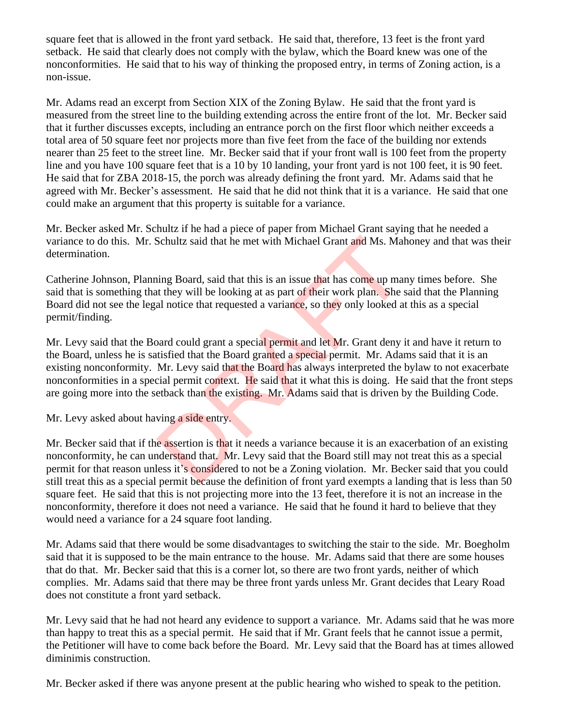square feet that is allowed in the front yard setback. He said that, therefore, 13 feet is the front yard setback. He said that clearly does not comply with the bylaw, which the Board knew was one of the nonconformities. He said that to his way of thinking the proposed entry, in terms of Zoning action, is a non-issue.

Mr. Adams read an excerpt from Section XIX of the Zoning Bylaw. He said that the front yard is measured from the street line to the building extending across the entire front of the lot. Mr. Becker said that it further discusses excepts, including an entrance porch on the first floor which neither exceeds a total area of 50 square feet nor projects more than five feet from the face of the building nor extends nearer than 25 feet to the street line. Mr. Becker said that if your front wall is 100 feet from the property line and you have 100 square feet that is a 10 by 10 landing, your front yard is not 100 feet, it is 90 feet. He said that for ZBA 2018-15, the porch was already defining the front yard. Mr. Adams said that he agreed with Mr. Becker's assessment. He said that he did not think that it is a variance. He said that one could make an argument that this property is suitable for a variance.

Mr. Becker asked Mr. Schultz if he had a piece of paper from Michael Grant saying that he needed a variance to do this. Mr. Schultz said that he met with Michael Grant and Ms. Mahoney and that was their determination.

Catherine Johnson, Planning Board, said that this is an issue that has come up many times before. She said that is something that they will be looking at as part of their work plan. She said that the Planning Board did not see the legal notice that requested a variance, so they only looked at this as a special permit/finding.

Mr. Levy said that the Board could grant a special permit and let Mr. Grant deny it and have it return to the Board, unless he is satisfied that the Board granted a special permit. Mr. Adams said that it is an existing nonconformity. Mr. Levy said that the Board has always interpreted the bylaw to not exacerbate nonconformities in a special permit context. He said that it what this is doing. He said that the front steps are going more into the setback than the existing. Mr. Adams said that is driven by the Building Code. Schultz said that he met with Michael Grant and Ms. Mal<br>
ing Board, said that this is an issue that has come up man<br>
it they will be looking at as part of their work plan. She sal<br>
and notice that requested a variance, so

Mr. Levy asked about having a side entry.

Mr. Becker said that if the assertion is that it needs a variance because it is an exacerbation of an existing nonconformity, he can understand that. Mr. Levy said that the Board still may not treat this as a special permit for that reason unless it's considered to not be a Zoning violation. Mr. Becker said that you could still treat this as a special permit because the definition of front yard exempts a landing that is less than 50 square feet. He said that this is not projecting more into the 13 feet, therefore it is not an increase in the nonconformity, therefore it does not need a variance. He said that he found it hard to believe that they would need a variance for a 24 square foot landing.

Mr. Adams said that there would be some disadvantages to switching the stair to the side. Mr. Boegholm said that it is supposed to be the main entrance to the house. Mr. Adams said that there are some houses that do that. Mr. Becker said that this is a corner lot, so there are two front yards, neither of which complies. Mr. Adams said that there may be three front yards unless Mr. Grant decides that Leary Road does not constitute a front yard setback.

Mr. Levy said that he had not heard any evidence to support a variance. Mr. Adams said that he was more than happy to treat this as a special permit. He said that if Mr. Grant feels that he cannot issue a permit, the Petitioner will have to come back before the Board. Mr. Levy said that the Board has at times allowed diminimis construction.

Mr. Becker asked if there was anyone present at the public hearing who wished to speak to the petition.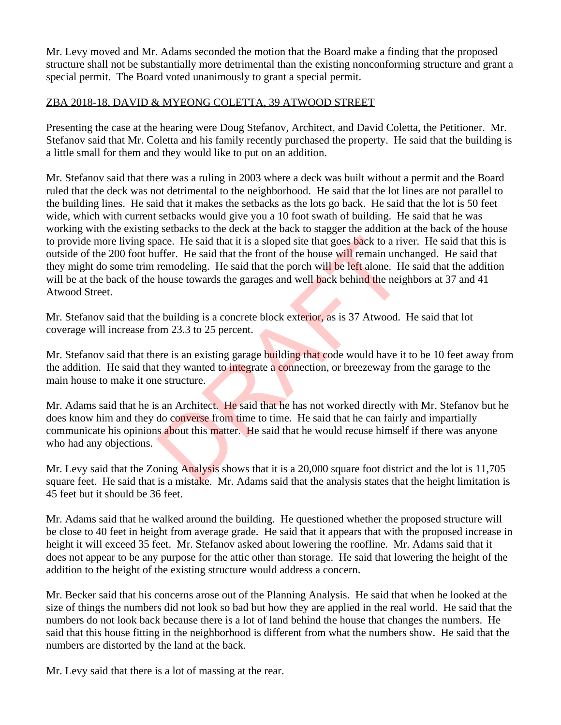Mr. Levy moved and Mr. Adams seconded the motion that the Board make a finding that the proposed structure shall not be substantially more detrimental than the existing nonconforming structure and grant a special permit. The Board voted unanimously to grant a special permit.

### ZBA 2018-18, DAVID & MYEONG COLETTA, 39 ATWOOD STREET

Presenting the case at the hearing were Doug Stefanov, Architect, and David Coletta, the Petitioner. Mr. Stefanov said that Mr. Coletta and his family recently purchased the property. He said that the building is a little small for them and they would like to put on an addition.

Mr. Stefanov said that there was a ruling in 2003 where a deck was built without a permit and the Board ruled that the deck was not detrimental to the neighborhood. He said that the lot lines are not parallel to the building lines. He said that it makes the setbacks as the lots go back. He said that the lot is 50 feet wide, which with current setbacks would give you a 10 foot swath of building. He said that he was working with the existing setbacks to the deck at the back to stagger the addition at the back of the house to provide more living space. He said that it is a sloped site that goes back to a river. He said that this is outside of the 200 foot buffer. He said that the front of the house will remain unchanged. He said that they might do some trim remodeling. He said that the porch will be left alone. He said that the addition will be at the back of the house towards the garages and well back behind the neighbors at 37 and 41 Atwood Street. acce. He said that it is a sloped site that goes back to a rivertion.<br>
In the said that the front of the house will remain unclerencodeling. He said that the porch will be left alone. He<br>
house towards the garages and well

Mr. Stefanov said that the building is a concrete block exterior, as is 37 Atwood. He said that lot coverage will increase from 23.3 to 25 percent.

Mr. Stefanov said that there is an existing garage building that code would have it to be 10 feet away from the addition. He said that they wanted to integrate a connection, or breezeway from the garage to the main house to make it one structure.

Mr. Adams said that he is an Architect. He said that he has not worked directly with Mr. Stefanov but he does know him and they do converse from time to time. He said that he can fairly and impartially communicate his opinions about this matter. He said that he would recuse himself if there was anyone who had any objections.

Mr. Levy said that the Zoning Analysis shows that it is a 20,000 square foot district and the lot is 11,705 square feet. He said that is a mistake. Mr. Adams said that the analysis states that the height limitation is 45 feet but it should be 36 feet.

Mr. Adams said that he walked around the building. He questioned whether the proposed structure will be close to 40 feet in height from average grade. He said that it appears that with the proposed increase in height it will exceed 35 feet. Mr. Stefanov asked about lowering the roofline. Mr. Adams said that it does not appear to be any purpose for the attic other than storage. He said that lowering the height of the addition to the height of the existing structure would address a concern.

Mr. Becker said that his concerns arose out of the Planning Analysis. He said that when he looked at the size of things the numbers did not look so bad but how they are applied in the real world. He said that the numbers do not look back because there is a lot of land behind the house that changes the numbers. He said that this house fitting in the neighborhood is different from what the numbers show. He said that the numbers are distorted by the land at the back.

Mr. Levy said that there is a lot of massing at the rear.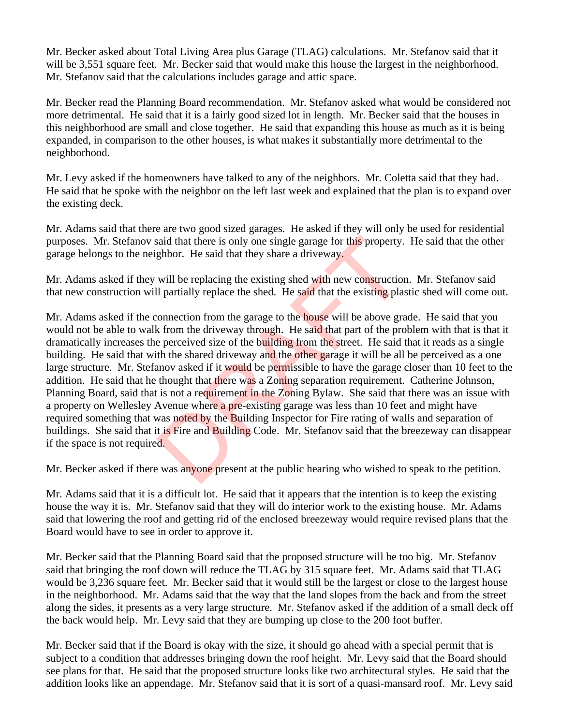Mr. Becker asked about Total Living Area plus Garage (TLAG) calculations. Mr. Stefanov said that it will be 3,551 square feet. Mr. Becker said that would make this house the largest in the neighborhood. Mr. Stefanov said that the calculations includes garage and attic space.

Mr. Becker read the Planning Board recommendation. Mr. Stefanov asked what would be considered not more detrimental. He said that it is a fairly good sized lot in length. Mr. Becker said that the houses in this neighborhood are small and close together. He said that expanding this house as much as it is being expanded, in comparison to the other houses, is what makes it substantially more detrimental to the neighborhood.

Mr. Levy asked if the homeowners have talked to any of the neighbors. Mr. Coletta said that they had. He said that he spoke with the neighbor on the left last week and explained that the plan is to expand over the existing deck.

Mr. Adams said that there are two good sized garages. He asked if they will only be used for residential purposes. Mr. Stefanov said that there is only one single garage for this property. He said that the other garage belongs to the neighbor. He said that they share a driveway.

Mr. Adams asked if they will be replacing the existing shed with new construction. Mr. Stefanov said that new construction will partially replace the shed. He said that the existing plastic shed will come out.

Mr. Adams asked if the connection from the garage to the **house** will be above grade. He said that you would not be able to walk from the driveway through. He said that part of the problem with that is that it dramatically increases the perceived size of the building from the street. He said that it reads as a single building. He said that with the shared driveway and the other garage it will be all be perceived as a one large structure. Mr. Stefanov asked if it would be permissible to have the garage closer than 10 feet to the addition. He said that he thought that there was a Zoning separation requirement. Catherine Johnson, Planning Board, said that is not a requirement in the Zoning Bylaw. She said that there was an issue with a property on Wellesley Avenue where a pre-existing garage was less than 10 feet and might have required something that was noted by the Building Inspector for Fire rating of walls and separation of buildings. She said that it is Fire and Building Code. Mr. Stefanov said that the breezeway can disappear if the space is not required. said that there is only one single garage for this property.<br>ghbor. He said that they share a driveway.<br>will be replacing the existing shed with new construction<br>ll partially replace the shed. He said that the existing pla

Mr. Becker asked if there was anyone present at the public hearing who wished to speak to the petition.

Mr. Adams said that it is a difficult lot. He said that it appears that the intention is to keep the existing house the way it is. Mr. Stefanov said that they will do interior work to the existing house. Mr. Adams said that lowering the roof and getting rid of the enclosed breezeway would require revised plans that the Board would have to see in order to approve it.

Mr. Becker said that the Planning Board said that the proposed structure will be too big. Mr. Stefanov said that bringing the roof down will reduce the TLAG by 315 square feet. Mr. Adams said that TLAG would be 3,236 square feet. Mr. Becker said that it would still be the largest or close to the largest house in the neighborhood. Mr. Adams said that the way that the land slopes from the back and from the street along the sides, it presents as a very large structure. Mr. Stefanov asked if the addition of a small deck off the back would help. Mr. Levy said that they are bumping up close to the 200 foot buffer.

Mr. Becker said that if the Board is okay with the size, it should go ahead with a special permit that is subject to a condition that addresses bringing down the roof height. Mr. Levy said that the Board should see plans for that. He said that the proposed structure looks like two architectural styles. He said that the addition looks like an appendage. Mr. Stefanov said that it is sort of a quasi-mansard roof. Mr. Levy said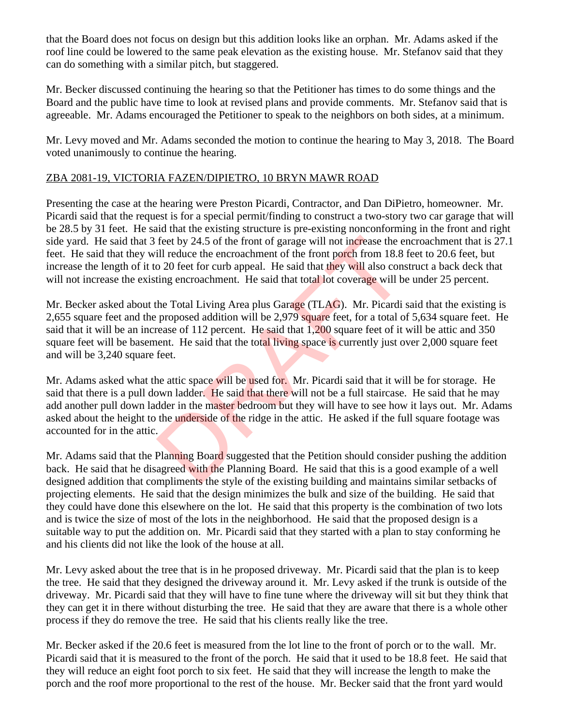that the Board does not focus on design but this addition looks like an orphan. Mr. Adams asked if the roof line could be lowered to the same peak elevation as the existing house. Mr. Stefanov said that they can do something with a similar pitch, but staggered.

Mr. Becker discussed continuing the hearing so that the Petitioner has times to do some things and the Board and the public have time to look at revised plans and provide comments. Mr. Stefanov said that is agreeable. Mr. Adams encouraged the Petitioner to speak to the neighbors on both sides, at a minimum.

Mr. Levy moved and Mr. Adams seconded the motion to continue the hearing to May 3, 2018. The Board voted unanimously to continue the hearing.

## ZBA 2081-19, VICTORIA FAZEN/DIPIETRO, 10 BRYN MAWR ROAD

Presenting the case at the hearing were Preston Picardi, Contractor, and Dan DiPietro, homeowner. Mr. Picardi said that the request is for a special permit/finding to construct a two-story two car garage that will be 28.5 by 31 feet. He said that the existing structure is pre-existing nonconforming in the front and right side yard. He said that 3 feet by 24.5 of the front of garage will not increase the encroachment that is 27.1 feet. He said that they will reduce the encroachment of the front porch from 18.8 feet to 20.6 feet, but increase the length of it to 20 feet for curb appeal. He said that they will also construct a back deck that will not increase the existing encroachment. He said that total lot coverage will be under 25 percent.

Mr. Becker asked about the Total Living Area plus Garage (TLAG). Mr. Picardi said that the existing is 2,655 square feet and the proposed addition will be 2,979 square feet, for a total of 5,634 square feet. He said that it will be an increase of 112 percent. He said that 1,200 square feet of it will be attic and 350 square feet will be basement. He said that the total living space is currently just over 2,000 square feet and will be 3,240 square feet.

Mr. Adams asked what the attic space will be used for. Mr. Picardi said that it will be for storage. He said that there is a pull down ladder. He said that there will not be a full staircase. He said that he may add another pull down ladder in the master bedroom but they will have to see how it lays out. Mr. Adams asked about the height to the underside of the ridge in the attic. He asked if the full square footage was accounted for in the attic. feet by 24.5 of the front of garage will not increase the e<br>ill reduce the encroachment of the front porch from 18.8<br>o 20 feet for curb appeal. He said that they will also consting encroachment. He said that total lot cove

Mr. Adams said that the Planning Board suggested that the Petition should consider pushing the addition back. He said that he disagreed with the Planning Board. He said that this is a good example of a well designed addition that compliments the style of the existing building and maintains similar setbacks of projecting elements. He said that the design minimizes the bulk and size of the building. He said that they could have done this elsewhere on the lot. He said that this property is the combination of two lots and is twice the size of most of the lots in the neighborhood. He said that the proposed design is a suitable way to put the addition on. Mr. Picardi said that they started with a plan to stay conforming he and his clients did not like the look of the house at all.

Mr. Levy asked about the tree that is in he proposed driveway. Mr. Picardi said that the plan is to keep the tree. He said that they designed the driveway around it. Mr. Levy asked if the trunk is outside of the driveway. Mr. Picardi said that they will have to fine tune where the driveway will sit but they think that they can get it in there without disturbing the tree. He said that they are aware that there is a whole other process if they do remove the tree. He said that his clients really like the tree.

Mr. Becker asked if the 20.6 feet is measured from the lot line to the front of porch or to the wall. Mr. Picardi said that it is measured to the front of the porch. He said that it used to be 18.8 feet. He said that they will reduce an eight foot porch to six feet. He said that they will increase the length to make the porch and the roof more proportional to the rest of the house. Mr. Becker said that the front yard would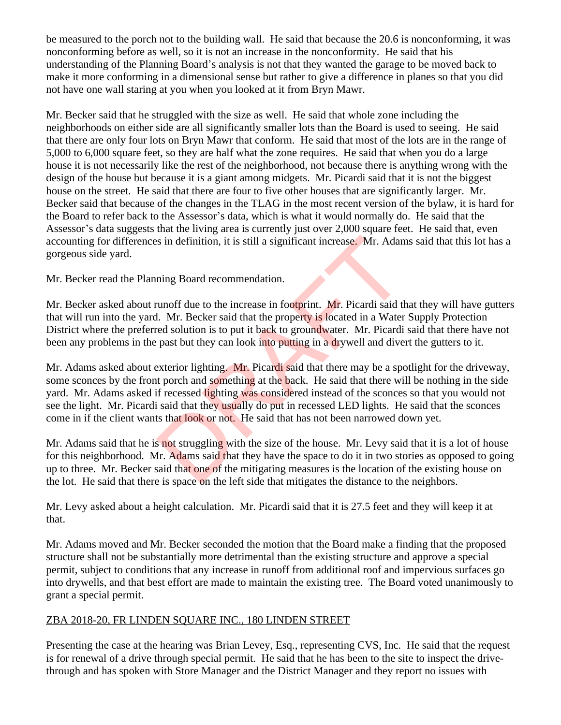be measured to the porch not to the building wall. He said that because the 20.6 is nonconforming, it was nonconforming before as well, so it is not an increase in the nonconformity. He said that his understanding of the Planning Board's analysis is not that they wanted the garage to be moved back to make it more conforming in a dimensional sense but rather to give a difference in planes so that you did not have one wall staring at you when you looked at it from Bryn Mawr.

Mr. Becker said that he struggled with the size as well. He said that whole zone including the neighborhoods on either side are all significantly smaller lots than the Board is used to seeing. He said that there are only four lots on Bryn Mawr that conform. He said that most of the lots are in the range of 5,000 to 6,000 square feet, so they are half what the zone requires. He said that when you do a large house it is not necessarily like the rest of the neighborhood, not because there is anything wrong with the design of the house but because it is a giant among midgets. Mr. Picardi said that it is not the biggest house on the street. He said that there are four to five other houses that are significantly larger. Mr. Becker said that because of the changes in the TLAG in the most recent version of the bylaw, it is hard for the Board to refer back to the Assessor's data, which is what it would normally do. He said that the Assessor's data suggests that the living area is currently just over 2,000 square feet. He said that, even accounting for differences in definition, it is still a significant increase. Mr. Adams said that this lot has a gorgeous side yard.

Mr. Becker read the Planning Board recommendation.

Mr. Becker asked about runoff due to the increase in footprint. Mr. Picardi said that they will have gutters that will run into the yard. Mr. Becker said that the property is located in a Water Supply Protection District where the preferred solution is to put it back to groundwater. Mr. Picardi said that there have not been any problems in the past but they can look into putting in a drywell and divert the gutters to it.

Mr. Adams asked about exterior lighting. Mr. Picardi said that there may be a spotlight for the driveway, some sconces by the front porch and something at the back. He said that there will be nothing in the side yard. Mr. Adams asked if recessed lighting was considered instead of the sconces so that you would not see the light. Mr. Picardi said that they usually do put in recessed LED lights. He said that the sconces come in if the client wants that look or not. He said that has not been narrowed down yet. is in definition, it is still a significant increase. Mr. Adam<br>
ning Board recommendation.<br>
unoff due to the increase in footprint. Mr. Picardi said th<br>
1. Mr. Becker said that the property is located in a Water<br>
red solut

Mr. Adams said that he is not struggling with the size of the house. Mr. Levy said that it is a lot of house for this neighborhood. Mr. Adams said that they have the space to do it in two stories as opposed to going up to three. Mr. Becker said that one of the mitigating measures is the location of the existing house on the lot. He said that there is space on the left side that mitigates the distance to the neighbors.

Mr. Levy asked about a height calculation. Mr. Picardi said that it is 27.5 feet and they will keep it at that.

Mr. Adams moved and Mr. Becker seconded the motion that the Board make a finding that the proposed structure shall not be substantially more detrimental than the existing structure and approve a special permit, subject to conditions that any increase in runoff from additional roof and impervious surfaces go into drywells, and that best effort are made to maintain the existing tree. The Board voted unanimously to grant a special permit.

# ZBA 2018-20, FR LINDEN SQUARE INC., 180 LINDEN STREET

Presenting the case at the hearing was Brian Levey, Esq., representing CVS, Inc. He said that the request is for renewal of a drive through special permit. He said that he has been to the site to inspect the drivethrough and has spoken with Store Manager and the District Manager and they report no issues with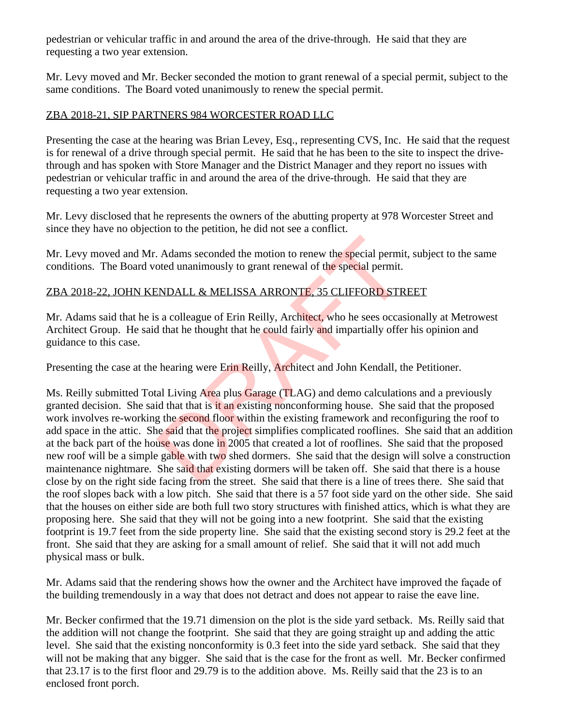pedestrian or vehicular traffic in and around the area of the drive-through. He said that they are requesting a two year extension.

Mr. Levy moved and Mr. Becker seconded the motion to grant renewal of a special permit, subject to the same conditions. The Board voted unanimously to renew the special permit.

## ZBA 2018-21, SIP PARTNERS 984 WORCESTER ROAD LLC

Presenting the case at the hearing was Brian Levey, Esq., representing CVS, Inc. He said that the request is for renewal of a drive through special permit. He said that he has been to the site to inspect the drivethrough and has spoken with Store Manager and the District Manager and they report no issues with pedestrian or vehicular traffic in and around the area of the drive-through. He said that they are requesting a two year extension.

Mr. Levy disclosed that he represents the owners of the abutting property at 978 Worcester Street and since they have no objection to the petition, he did not see a conflict.

Mr. Levy moved and Mr. Adams seconded the motion to renew the special permit, subject to the same conditions. The Board voted unanimously to grant renewal of the special permit.

## ZBA 2018-22, JOHN KENDALL & MELISSA ARRONTE, 35 CLIFFORD STREET

Mr. Adams said that he is a colleague of Erin Reilly, Architect, who he sees occasionally at Metrowest Architect Group. He said that he thought that he could fairly and impartially offer his opinion and guidance to this case.

Presenting the case at the hearing were Erin Reilly, Architect and John Kendall, the Petitioner.

Ms. Reilly submitted Total Living Area plus Garage (TLAG) and demo calculations and a previously granted decision. She said that that is it an existing nonconforming house. She said that the proposed work involves re-working the second floor within the existing framework and reconfiguring the roof to add space in the attic. She said that the project simplifies complicated rooflines. She said that an addition at the back part of the house was done in 2005 that created a lot of rooflines. She said that the proposed new roof will be a simple gable with two shed dormers. She said that the design will solve a construction maintenance nightmare. She said that existing dormers will be taken off. She said that there is a house close by on the right side facing from the street. She said that there is a line of trees there. She said that the roof slopes back with a low pitch. She said that there is a 57 foot side yard on the other side. She said that the houses on either side are both full two story structures with finished attics, which is what they are proposing here. She said that they will not be going into a new footprint. She said that the existing footprint is 19.7 feet from the side property line. She said that the existing second story is 29.2 feet at the front. She said that they are asking for a small amount of relief. She said that it will not add much physical mass or bulk. Adams seconded the motion to renew the special permit<br>oted unanimously to grant renewal of the special permit.<br>
<u>SNDALL & MELISSA ARRONTE</u>, 35 CLIFFORD STR<br>
s a colleague of Erin Reilly, Architect, who he sees occass<br>
d th

Mr. Adams said that the rendering shows how the owner and the Architect have improved the façade of the building tremendously in a way that does not detract and does not appear to raise the eave line.

Mr. Becker confirmed that the 19.71 dimension on the plot is the side yard setback. Ms. Reilly said that the addition will not change the footprint. She said that they are going straight up and adding the attic level. She said that the existing nonconformity is 0.3 feet into the side yard setback. She said that they will not be making that any bigger. She said that is the case for the front as well. Mr. Becker confirmed that 23.17 is to the first floor and 29.79 is to the addition above. Ms. Reilly said that the 23 is to an enclosed front porch.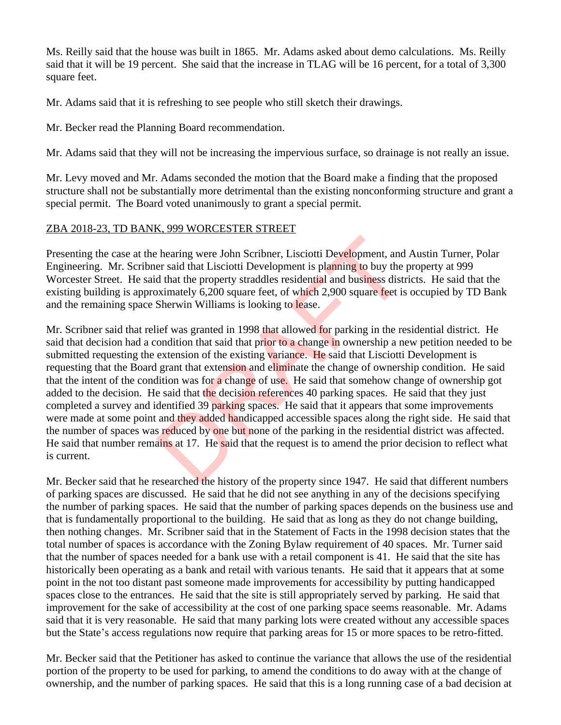Ms. Reilly said that the house was built in 1865. Mr. Adams asked about demo calculations. Ms. Reilly said that it will be 19 percent. She said that the increase in TLAG will be 16 percent, for a total of 3,300 square feet.

Mr. Adams said that it is refreshing to see people who still sketch their drawings.

Mr. Becker read the Planning Board recommendation.

Mr. Adams said that they will not be increasing the impervious surface, so drainage is not really an issue.

Mr. Levy moved and Mr. Adams seconded the motion that the Board make a finding that the proposed structure shall not be substantially more detrimental than the existing nonconforming structure and grant a special permit. The Board voted unanimously to grant a special permit.

### ZBA 2018-23, TD BANK, 999 WORCESTER STREET

Presenting the case at the hearing were John Scribner, Lisciotti Development, and Austin Turner, Polar Engineering. Mr. Scribner said that Lisciotti Development is planning to buy the property at 999 Worcester Street. He said that the property straddles residential and business districts. He said that the existing building is approximately 6,200 square feet, of which 2,900 square feet is occupied by TD Bank and the remaining space Sherwin Williams is looking to lease.

Mr. Scribner said that relief was granted in 1998 that allowed for parking in the residential district. He said that decision had a condition that said that prior to a change in ownership a new petition needed to be submitted requesting the extension of the existing variance. He said that Lisciotti Development is requesting that the Board grant that extension and eliminate the change of ownership condition. He said that the intent of the condition was for a change of use. He said that somehow change of ownership got added to the decision. He said that the decision references 40 parking spaces. He said that they just completed a survey and identified 39 parking spaces. He said that it appears that some improvements were made at some point and they added handicapped accessible spaces along the right side. He said that the number of spaces was reduced by one but none of the parking in the residential district was affected. He said that number remains at 17. He said that the request is to amend the prior decision to reflect what is current. the starting were John Scribner, Lisciotti Development, and<br>er said that Lisciotti Development is planning to buy the<br>d that the property straddles residential and business dist<br>oximately 6,200 square feet, of which 2,900

Mr. Becker said that he researched the history of the property since 1947. He said that different numbers of parking spaces are discussed. He said that he did not see anything in any of the decisions specifying the number of parking spaces. He said that the number of parking spaces depends on the business use and that is fundamentally proportional to the building. He said that as long as they do not change building, then nothing changes. Mr. Scribner said that in the Statement of Facts in the 1998 decision states that the total number of spaces is accordance with the Zoning Bylaw requirement of 40 spaces. Mr. Turner said that the number of spaces needed for a bank use with a retail component is 41. He said that the site has historically been operating as a bank and retail with various tenants. He said that it appears that at some point in the not too distant past someone made improvements for accessibility by putting handicapped spaces close to the entrances. He said that the site is still appropriately served by parking. He said that improvement for the sake of accessibility at the cost of one parking space seems reasonable. Mr. Adams said that it is very reasonable. He said that many parking lots were created without any accessible spaces but the State's access regulations now require that parking areas for 15 or more spaces to be retro-fitted.

Mr. Becker said that the Petitioner has asked to continue the variance that allows the use of the residential portion of the property to be used for parking, to amend the conditions to do away with at the change of ownership, and the number of parking spaces. He said that this is a long running case of a bad decision at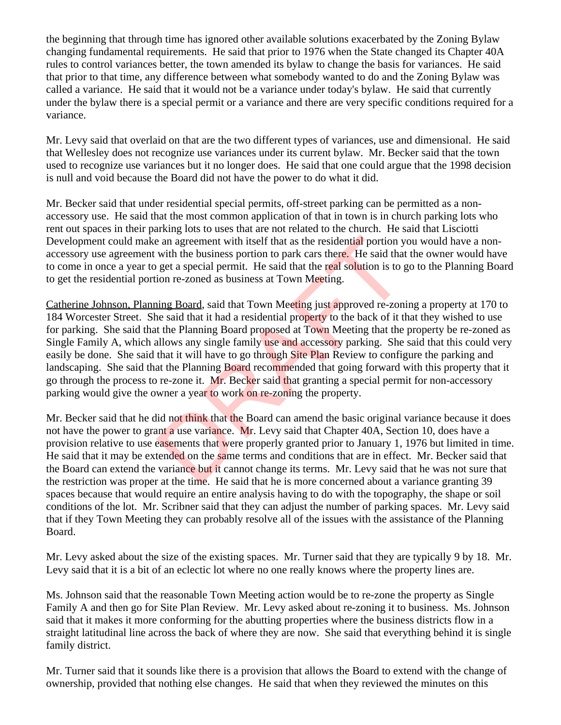the beginning that through time has ignored other available solutions exacerbated by the Zoning Bylaw changing fundamental requirements. He said that prior to 1976 when the State changed its Chapter 40A rules to control variances better, the town amended its bylaw to change the basis for variances. He said that prior to that time, any difference between what somebody wanted to do and the Zoning Bylaw was called a variance. He said that it would not be a variance under today's bylaw. He said that currently under the bylaw there is a special permit or a variance and there are very specific conditions required for a variance.

Mr. Levy said that overlaid on that are the two different types of variances, use and dimensional. He said that Wellesley does not recognize use variances under its current bylaw. Mr. Becker said that the town used to recognize use variances but it no longer does. He said that one could argue that the 1998 decision is null and void because the Board did not have the power to do what it did.

Mr. Becker said that under residential special permits, off-street parking can be permitted as a nonaccessory use. He said that the most common application of that in town is in church parking lots who rent out spaces in their parking lots to uses that are not related to the church. He said that Lisciotti Development could make an agreement with itself that as the residential portion you would have a nonaccessory use agreement with the business portion to park cars there. He said that the owner would have to come in once a year to get a special permit. He said that the real solution is to go to the Planning Board to get the residential portion re-zoned as business at Town Meeting.

Catherine Johnson, Planning Board, said that Town Meeting just approved re-zoning a property at 170 to 184 Worcester Street. She said that it had a residential property to the back of it that they wished to use for parking. She said that the Planning Board proposed at Town Meeting that the property be re-zoned as Single Family A, which allows any single family use and accessory parking. She said that this could very easily be done. She said that it will have to go through Site Plan Review to configure the parking and landscaping. She said that the Planning Board recommended that going forward with this property that it go through the process to re-zone it. Mr. Becker said that granting a special permit for non-accessory parking would give the owner a year to work on re-zoning the property. e an agreement with itself that as the residential portion y<br>with the business portion to park cars there. He said that<br>get a special permit. He said that the real solution is to g<br>ion re-zoned as business at Town Meeting.

Mr. Becker said that he did not think that the Board can amend the basic original variance because it does not have the power to grant a use variance. Mr. Levy said that Chapter 40A, Section 10, does have a provision relative to use easements that were properly granted prior to January 1, 1976 but limited in time. He said that it may be extended on the same terms and conditions that are in effect. Mr. Becker said that the Board can extend the variance but it cannot change its terms. Mr. Levy said that he was not sure that the restriction was proper at the time. He said that he is more concerned about a variance granting 39 spaces because that would require an entire analysis having to do with the topography, the shape or soil conditions of the lot. Mr. Scribner said that they can adjust the number of parking spaces. Mr. Levy said that if they Town Meeting they can probably resolve all of the issues with the assistance of the Planning Board.

Mr. Levy asked about the size of the existing spaces. Mr. Turner said that they are typically 9 by 18. Mr. Levy said that it is a bit of an eclectic lot where no one really knows where the property lines are.

Ms. Johnson said that the reasonable Town Meeting action would be to re-zone the property as Single Family A and then go for Site Plan Review. Mr. Levy asked about re-zoning it to business. Ms. Johnson said that it makes it more conforming for the abutting properties where the business districts flow in a straight latitudinal line across the back of where they are now. She said that everything behind it is single family district.

Mr. Turner said that it sounds like there is a provision that allows the Board to extend with the change of ownership, provided that nothing else changes. He said that when they reviewed the minutes on this